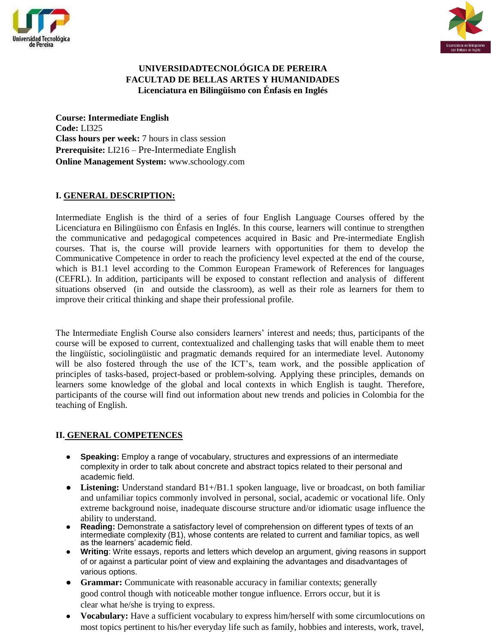



## **UNIVERSIDADTECNOLÓGICA DE PEREIRA FACULTAD DE BELLAS ARTES Y HUMANIDADES Licenciatura en Bilingüismo con Énfasis en Inglés**

**Course: Intermediate English Code:** LI325 **Class hours per week:** 7 hours in class session **Prerequisite:** LI216 – Pre-Intermediate English **Online Management System:** www.schoology.com

## **I. GENERAL DESCRIPTION:**

Intermediate English is the third of a series of four English Language Courses offered by the Licenciatura en Bilingüismo con Énfasis en Inglés. In this course, learners will continue to strengthen the communicative and pedagogical competences acquired in Basic and Pre-intermediate English courses. That is, the course will provide learners with opportunities for them to develop the Communicative Competence in order to reach the proficiency level expected at the end of the course, which is B1.1 level according to the Common European Framework of References for languages (CEFRL). In addition, participants will be exposed to constant reflection and analysis of different situations observed (in and outside the classroom), as well as their role as learners for them to improve their critical thinking and shape their professional profile.

The Intermediate English Course also considers learners' interest and needs; thus, participants of the course will be exposed to current, contextualized and challenging tasks that will enable them to meet the lingüístic, sociolingüistic and pragmatic demands required for an intermediate level. Autonomy will be also fostered through the use of the ICT's, team work, and the possible application of principles of tasks-based, project-based or problem-solving. Applying these principles, demands on learners some knowledge of the global and local contexts in which English is taught. Therefore, participants of the course will find out information about new trends and policies in Colombia for the teaching of English.

## **II. GENERAL COMPETENCES**

- **Speaking:** Employ a range of vocabulary, structures and expressions of an intermediate complexity in order to talk about concrete and abstract topics related to their personal and academic field.
- **Listening:** Understand standard B1+/B1.1 spoken language, live or broadcast, on both familiar and unfamiliar topics commonly involved in personal, social, academic or vocational life. Only extreme background noise, inadequate discourse structure and/or idiomatic usage influence the ability to understand.
- **Reading:** Demonstrate a satisfactory level of comprehension on different types of texts of an intermediate complexity (B1), whose contents are related to current and familiar topics, as well as the learners' academic field.
- **Writing:** Write essays, reports and letters which develop an argument, giving reasons in support of or against a particular point of view and explaining the advantages and disadvantages of various options.
- **Grammar:** Communicate with reasonable accuracy in familiar contexts; generally good control though with noticeable mother tongue influence. Errors occur, but it is clear what he/she is trying to express.
- **Vocabulary:** Have a sufficient vocabulary to express him/herself with some circumlocutions on most topics pertinent to his/her everyday life such as family, hobbies and interests, work, travel,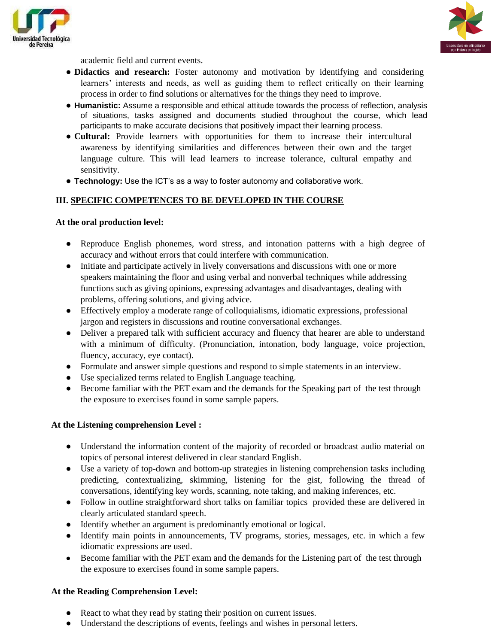



academic field and current events.

- **Didactics and research:** Foster autonomy and motivation by identifying and considering learners' interests and needs, as well as guiding them to reflect critically on their learning process in order to find solutions or alternatives for the things they need to improve.
- **Humanistic:** Assume a responsible and ethical attitude towards the process of reflection, analysis of situations, tasks assigned and documents studied throughout the course, which lead participants to make accurate decisions that positively impact their learning process.
- **Cultural:** Provide learners with opportunities for them to increase their intercultural awareness by identifying similarities and differences between their own and the target language culture. This will lead learners to increase tolerance, cultural empathy and sensitivity.
- **Technology:** Use the ICT's as a way to foster autonomy and collaborative work.

## **III. SPECIFIC COMPETENCES TO BE DEVELOPED IN THE COURSE**

### **At the oral production level:**

- Reproduce English phonemes, word stress, and intonation patterns with a high degree of accuracy and without errors that could interfere with communication.
- Initiate and participate actively in lively conversations and discussions with one or more speakers maintaining the floor and using verbal and nonverbal techniques while addressing functions such as giving opinions, expressing advantages and disadvantages, dealing with problems, offering solutions, and giving advice.
- Effectively employ a moderate range of colloquialisms, idiomatic expressions, professional jargon and registers in discussions and routine conversational exchanges.
- Deliver a prepared talk with sufficient accuracy and fluency that hearer are able to understand with a minimum of difficulty. (Pronunciation, intonation, body language, voice projection, fluency, accuracy, eye contact).
- Formulate and answer simple questions and respond to simple statements in an interview.
- Use specialized terms related to English Language teaching.
- Become familiar with the PET exam and the demands for the Speaking part of the test through the exposure to exercises found in some sample papers.

#### **At the Listening comprehension Level :**

- Understand the information content of the majority of recorded or broadcast audio material on topics of personal interest delivered in clear standard English.
- Use a variety of top-down and bottom-up strategies in listening comprehension tasks including predicting, contextualizing, skimming, listening for the gist, following the thread of conversations, identifying key words, scanning, note taking, and making inferences, etc.
- Follow in outline straightforward short talks on familiar topics provided these are delivered in clearly articulated standard speech.
- Identify whether an argument is predominantly emotional or logical.
- Identify main points in announcements, TV programs, stories, messages, etc. in which a few idiomatic expressions are used.
- Become familiar with the PET exam and the demands for the Listening part of the test through the exposure to exercises found in some sample papers.

#### **At the Reading Comprehension Level:**

- React to what they read by stating their position on current issues.
- Understand the descriptions of events, feelings and wishes in personal letters.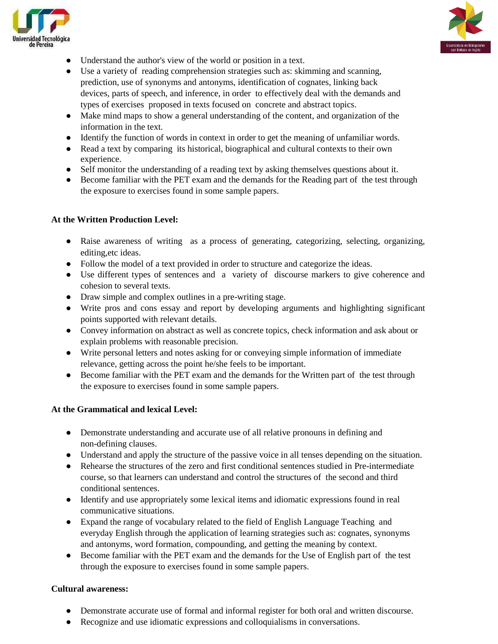



- Understand the author's view of the world or position in a text.
- Use a variety of reading comprehension strategies such as: skimming and scanning, prediction, use of synonyms and antonyms, identification of cognates, linking back devices, parts of speech, and inference, in order to effectively deal with the demands and types of exercises proposed in texts focused on concrete and abstract topics.
- Make mind maps to show a general understanding of the content, and organization of the information in the text.
- Identify the function of words in context in order to get the meaning of unfamiliar words.
- Read a text by comparing its historical, biographical and cultural contexts to their own experience.
- Self monitor the understanding of a reading text by asking themselves questions about it.
- Become familiar with the PET exam and the demands for the Reading part of the test through the exposure to exercises found in some sample papers.

### **At the Written Production Level:**

- Raise awareness of writing as a process of generating, categorizing, selecting, organizing, editing,etc ideas.
- Follow the model of a text provided in order to structure and categorize the ideas.
- Use different types of sentences and a variety of discourse markers to give coherence and cohesion to several texts.
- Draw simple and complex outlines in a pre-writing stage.
- Write pros and cons essay and report by developing arguments and highlighting significant points supported with relevant details.
- Convey information on abstract as well as concrete topics, check information and ask about or explain problems with reasonable precision.
- Write personal letters and notes asking for or conveying simple information of immediate relevance, getting across the point he/she feels to be important.
- Become familiar with the PET exam and the demands for the Written part of the test through the exposure to exercises found in some sample papers.

#### **At the Grammatical and lexical Level:**

- Demonstrate understanding and accurate use of all relative pronouns in defining and non-defining clauses.
- Understand and apply the structure of the passive voice in all tenses depending on the situation.
- Rehearse the structures of the zero and first conditional sentences studied in Pre-intermediate course, so that learners can understand and control the structures of the second and third conditional sentences.
- Identify and use appropriately some lexical items and idiomatic expressions found in real communicative situations.
- Expand the range of vocabulary related to the field of English Language Teaching and everyday English through the application of learning strategies such as: cognates, synonyms and antonyms, word formation, compounding, and getting the meaning by context.
- Become familiar with the PET exam and the demands for the Use of English part of the test through the exposure to exercises found in some sample papers.

#### **Cultural awareness:**

- Demonstrate accurate use of formal and informal register for both oral and written discourse.
- Recognize and use idiomatic expressions and colloquialisms in conversations.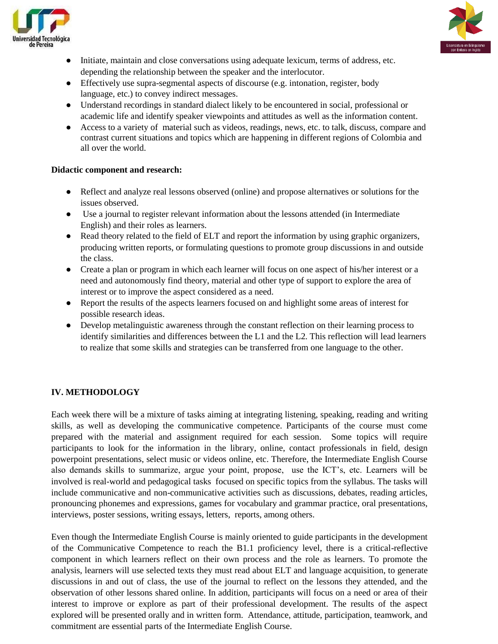



- Initiate, maintain and close conversations using adequate lexicum, terms of address, etc. depending the relationship between the speaker and the interlocutor.
- Effectively use supra-segmental aspects of discourse (e.g. intonation, register, body language, etc.) to convey indirect messages.
- Understand recordings in standard dialect likely to be encountered in social, professional or academic life and identify speaker viewpoints and attitudes as well as the information content.
- Access to a variety of material such as videos, readings, news, etc. to talk, discuss, compare and contrast current situations and topics which are happening in different regions of Colombia and all over the world.

## **Didactic component and research:**

- Reflect and analyze real lessons observed (online) and propose alternatives or solutions for the issues observed.
- Use a journal to register relevant information about the lessons attended (in Intermediate English) and their roles as learners.
- Read theory related to the field of ELT and report the information by using graphic organizers, producing written reports, or formulating questions to promote group discussions in and outside the class.
- Create a plan or program in which each learner will focus on one aspect of his/her interest or a need and autonomously find theory, material and other type of support to explore the area of interest or to improve the aspect considered as a need.
- Report the results of the aspects learners focused on and highlight some areas of interest for possible research ideas.
- Develop metalinguistic awareness through the constant reflection on their learning process to identify similarities and differences between the L1 and the L2. This reflection will lead learners to realize that some skills and strategies can be transferred from one language to the other.

# **IV. METHODOLOGY**

Each week there will be a mixture of tasks aiming at integrating listening, speaking, reading and writing skills, as well as developing the communicative competence. Participants of the course must come prepared with the material and assignment required for each session. Some topics will require participants to look for the information in the library, online, contact professionals in field, design powerpoint presentations, select music or videos online, etc. Therefore, the Intermediate English Course also demands skills to summarize, argue your point, propose, use the ICT's, etc. Learners will be involved is real-world and pedagogical tasks focused on specific topics from the syllabus. The tasks will include communicative and non-communicative activities such as discussions, debates, reading articles, pronouncing phonemes and expressions, games for vocabulary and grammar practice, oral presentations, interviews, poster sessions, writing essays, letters, reports, among others.

Even though the Intermediate English Course is mainly oriented to guide participants in the development of the Communicative Competence to reach the B1.1 proficiency level, there is a critical-reflective component in which learners reflect on their own process and the role as learners. To promote the analysis, learners will use selected texts they must read about ELT and language acquisition, to generate discussions in and out of class, the use of the journal to reflect on the lessons they attended, and the observation of other lessons shared online. In addition, participants will focus on a need or area of their interest to improve or explore as part of their professional development. The results of the aspect explored will be presented orally and in written form. Attendance, attitude, participation, teamwork, and commitment are essential parts of the Intermediate English Course.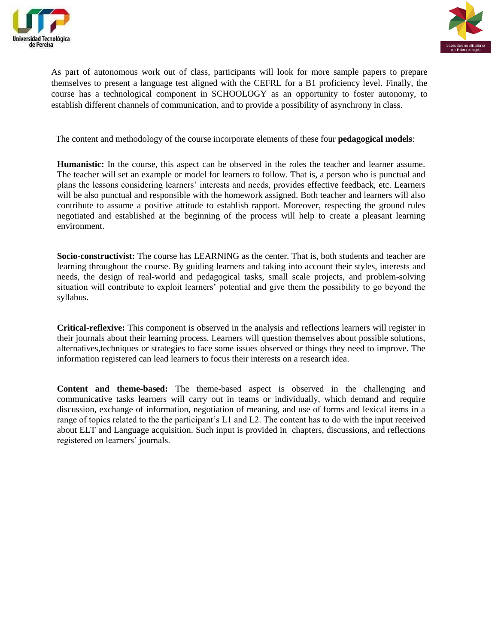



As part of autonomous work out of class, participants will look for more sample papers to prepare themselves to present a language test aligned with the CEFRL for a B1 proficiency level. Finally, the course has a technological component in SCHOOLOGY as an opportunity to foster autonomy, to establish different channels of communication, and to provide a possibility of asynchrony in class.

The content and methodology of the course incorporate elements of these four **pedagogical models**:

**Humanistic:** In the course, this aspect can be observed in the roles the teacher and learner assume. The teacher will set an example or model for learners to follow. That is, a person who is punctual and plans the lessons considering learners' interests and needs, provides effective feedback, etc. Learners will be also punctual and responsible with the homework assigned. Both teacher and learners will also contribute to assume a positive attitude to establish rapport. Moreover, respecting the ground rules negotiated and established at the beginning of the process will help to create a pleasant learning environment.

**Socio-constructivist:** The course has LEARNING as the center. That is, both students and teacher are learning throughout the course. By guiding learners and taking into account their styles, interests and needs, the design of real-world and pedagogical tasks, small scale projects, and problem-solving situation will contribute to exploit learners' potential and give them the possibility to go beyond the syllabus.

**Critical-reflexive:** This component is observed in the analysis and reflections learners will register in their journals about their learning process. Learners will question themselves about possible solutions, alternatives,techniques or strategies to face some issues observed or things they need to improve. The information registered can lead learners to focus their interests on a research idea.

**Content and theme-based:** The theme-based aspect is observed in the challenging and communicative tasks learners will carry out in teams or individually, which demand and require discussion, exchange of information, negotiation of meaning, and use of forms and lexical items in a range of topics related to the the participant's L1 and L2. The content has to do with the input received about ELT and Language acquisition. Such input is provided in chapters, discussions, and reflections registered on learners' journals.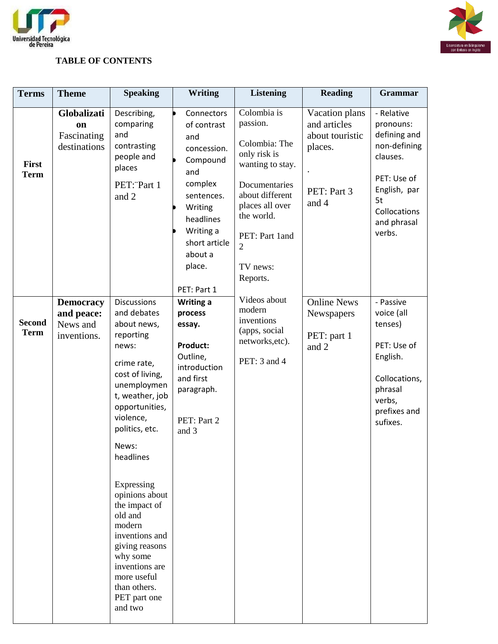



# **TABLE OF CONTENTS**

| <b>Terms</b>                 | <b>Theme</b>                                              | <b>Speaking</b>                                                                                                                                                                                                                                                                                                                                                                                                     | Writing                                                                                                                                                                               | <b>Listening</b>                                                                                                                                                                                              | <b>Reading</b>                                                                       | Grammar                                                                                                                                           |
|------------------------------|-----------------------------------------------------------|---------------------------------------------------------------------------------------------------------------------------------------------------------------------------------------------------------------------------------------------------------------------------------------------------------------------------------------------------------------------------------------------------------------------|---------------------------------------------------------------------------------------------------------------------------------------------------------------------------------------|---------------------------------------------------------------------------------------------------------------------------------------------------------------------------------------------------------------|--------------------------------------------------------------------------------------|---------------------------------------------------------------------------------------------------------------------------------------------------|
| First<br><b>Term</b>         | Globalizati<br>on<br>Fascinating<br>destinations          | Describing,<br>comparing<br>and<br>contrasting<br>people and<br>places<br>PET: Part 1<br>and 2                                                                                                                                                                                                                                                                                                                      | Connectors<br>of contrast<br>and<br>concession.<br>Compound<br>and<br>complex<br>sentences.<br>Writing<br>headlines<br>Writing a<br>short article<br>about a<br>place.<br>PET: Part 1 | Colombia is<br>passion.<br>Colombia: The<br>only risk is<br>wanting to stay.<br>Documentaries<br>about different<br>places all over<br>the world.<br>PET: Part 1and<br>$\overline{2}$<br>TV news:<br>Reports. | Vacation plans<br>and articles<br>about touristic<br>places.<br>PET: Part 3<br>and 4 | - Relative<br>pronouns:<br>defining and<br>non-defining<br>clauses.<br>PET: Use of<br>English, par<br>5t<br>Collocations<br>and phrasal<br>verbs. |
| <b>Second</b><br><b>Term</b> | <b>Democracy</b><br>and peace:<br>News and<br>inventions. | <b>Discussions</b><br>and debates<br>about news,<br>reporting<br>news:<br>crime rate,<br>cost of living,<br>unemploymen<br>t, weather, job<br>opportunities,<br>violence,<br>politics, etc.<br>News:<br>headlines<br>Expressing<br>opinions about<br>the impact of<br>old and<br>modern<br>inventions and<br>giving reasons<br>why some<br>inventions are<br>more useful<br>than others.<br>PET part one<br>and two | Writing a<br>process<br>essay.<br><b>Product:</b><br>Outline,<br>introduction<br>and first<br>paragraph.<br>PET: Part 2<br>and 3                                                      | Videos about<br>modern<br>inventions<br>(apps, social<br>networks, etc).<br>PET: 3 and 4                                                                                                                      | <b>Online News</b><br>Newspapers<br>PET: part 1<br>and 2                             | - Passive<br>voice (all<br>tenses)<br>PET: Use of<br>English.<br>Collocations,<br>phrasal<br>verbs,<br>prefixes and<br>sufixes.                   |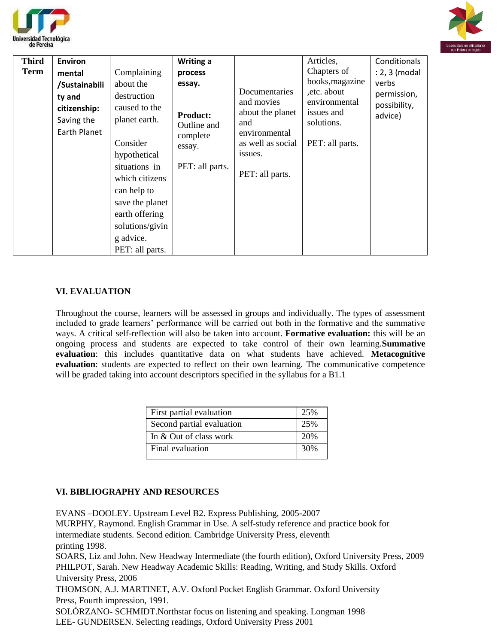



| <b>Third</b> | <b>Environ</b> |                 | Writing a                                            |                                                                         | Articles,                                                                    | Conditionals                                    |
|--------------|----------------|-----------------|------------------------------------------------------|-------------------------------------------------------------------------|------------------------------------------------------------------------------|-------------------------------------------------|
| <b>Term</b>  | mental         | Complaining     | process                                              |                                                                         | Chapters of                                                                  | : 2, 3 (modal                                   |
|              | /Sustainabili  | about the       | essay.<br><b>Product:</b><br>Outline and<br>complete | Documentaries<br>and movies<br>about the planet<br>and<br>environmental | books, magazine<br>, etc. about<br>environmental<br>issues and<br>solutions. | verbs<br>permission,<br>possibility,<br>advice) |
|              | ty and         | destruction     |                                                      |                                                                         |                                                                              |                                                 |
|              | citizenship:   | caused to the   |                                                      |                                                                         |                                                                              |                                                 |
|              | Saving the     | planet earth.   |                                                      |                                                                         |                                                                              |                                                 |
|              | Earth Planet   |                 |                                                      |                                                                         |                                                                              |                                                 |
|              |                | Consider        | essay.                                               | as well as social                                                       | PET: all parts.                                                              |                                                 |
|              |                | hypothetical    | PET: all parts.                                      | issues.                                                                 |                                                                              |                                                 |
|              |                | situations in   |                                                      | PET: all parts.                                                         |                                                                              |                                                 |
|              |                | which citizens  |                                                      |                                                                         |                                                                              |                                                 |
|              |                | can help to     |                                                      |                                                                         |                                                                              |                                                 |
|              |                | save the planet |                                                      |                                                                         |                                                                              |                                                 |
|              |                | earth offering  |                                                      |                                                                         |                                                                              |                                                 |
|              |                | solutions/givin |                                                      |                                                                         |                                                                              |                                                 |
|              |                | g advice.       |                                                      |                                                                         |                                                                              |                                                 |
|              |                | PET: all parts. |                                                      |                                                                         |                                                                              |                                                 |

### **VI. EVALUATION**

Throughout the course, learners will be assessed in groups and individually. The types of assessment included to grade learners' performance will be carried out both in the formative and the summative ways. A critical self-reflection will also be taken into account. **Formative evaluation:** this will be an ongoing process and students are expected to take control of their own learning.**Summative evaluation**: this includes quantitative data on what students have achieved. **Metacognitive evaluation**: students are expected to reflect on their own learning. The communicative competence will be graded taking into account descriptors specified in the syllabus for a B1.1

| First partial evaluation  | 25% |
|---------------------------|-----|
| Second partial evaluation | 25% |
| In $&$ Out of class work  | 20% |
| Final evaluation          | 30% |
|                           |     |

# **VI. BIBLIOGRAPHY AND RESOURCES**

EVANS –DOOLEY. Upstream Level B2. Express Publishing, 2005-2007 MURPHY, Raymond. English Grammar in Use. A self-study reference and practice book for intermediate students. Second edition. Cambridge University Press, eleventh printing 1998. SOARS, Liz and John. New Headway Intermediate (the fourth edition), Oxford University Press, 2009 PHILPOT, Sarah. New Headway Academic Skills: Reading, Writing, and Study Skills. Oxford University Press, 2006 THOMSON, A.J. MARTINET, A.V. Oxford Pocket English Grammar. Oxford University Press, Fourth impression, 1991.

SOLÓRZANO- SCHMIDT.Northstar focus on listening and speaking. Longman 1998 LEE- GUNDERSEN. Selecting readings, Oxford University Press 2001